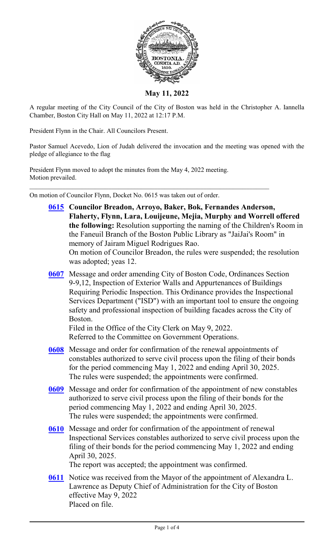

**May 11, 2022**

A regular meeting of the City Council of the City of Boston was held in the Christopher A. Iannella Chamber, Boston City Hall on May 11, 2022 at 12:17 P.M.

President Flynn in the Chair. All Councilors Present.

Pastor Samuel Acevedo, Lion of Judah delivered the invocation and the meeting was opened with the pledge of allegiance to the flag

President Flynn moved to adopt the minutes from the May 4, 2022 meeting. Motion prevailed.

On motion of Councilor Flynn, Docket No. 0615 was taken out of order.

- **[0615](http://boston.legistar.com/gateway.aspx?m=l&id=/matter.aspx?key=5744) Councilor Breadon, Arroyo, Baker, Bok, Fernandes Anderson, Flaherty, Flynn, Lara, Louijeune, Mejia, Murphy and Worrell offered the following:** Resolution supporting the naming of the Children's Room in the Faneuil Branch of the Boston Public Library as "JaiJai's Room" in memory of Jairam Miguel Rodrigues Rao. On motion of Councilor Breadon, the rules were suspended; the resolution was adopted; yeas 12.
- **[0607](http://boston.legistar.com/gateway.aspx?m=l&id=/matter.aspx?key=5752)** Message and order amending City of Boston Code, Ordinances Section 9-9,12, Inspection of Exterior Walls and Appurtenances of Buildings Requiring Periodic Inspection. This Ordinance provides the Inspectional Services Department ("ISD") with an important tool to ensure the ongoing safety and professional inspection of building facades across the City of Boston.

Filed in the Office of the City Clerk on May 9, 2022. Referred to the Committee on Government Operations.

- **[0608](http://boston.legistar.com/gateway.aspx?m=l&id=/matter.aspx?key=5742)** Message and order for confirmation of the renewal appointments of constables authorized to serve civil process upon the filing of their bonds for the period commencing May 1, 2022 and ending April 30, 2025. The rules were suspended; the appointments were confirmed.
- **[0609](http://boston.legistar.com/gateway.aspx?m=l&id=/matter.aspx?key=5740)** Message and order for confirmation of the appointment of new constables authorized to serve civil process upon the filing of their bonds for the period commencing May 1, 2022 and ending April 30, 2025. The rules were suspended; the appointments were confirmed.
- **[0610](http://boston.legistar.com/gateway.aspx?m=l&id=/matter.aspx?key=5741)** Message and order for confirmation of the appointment of renewal Inspectional Services constables authorized to serve civil process upon the filing of their bonds for the period commencing May 1, 2022 and ending April 30, 2025.

The report was accepted; the appointment was confirmed.

**[0611](http://boston.legistar.com/gateway.aspx?m=l&id=/matter.aspx?key=5758)** Notice was received from the Mayor of the appointment of Alexandra L. Lawrence as Deputy Chief of Administration for the City of Boston effective May 9, 2022 Placed on file.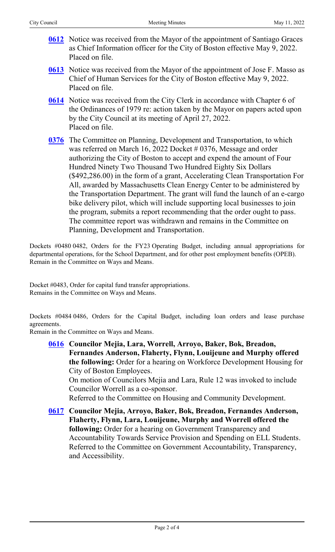- **[0612](http://boston.legistar.com/gateway.aspx?m=l&id=/matter.aspx?key=5759)** Notice was received from the Mayor of the appointment of Santiago Graces as Chief Information officer for the City of Boston effective May 9, 2022. Placed on file.
- **[0613](http://boston.legistar.com/gateway.aspx?m=l&id=/matter.aspx?key=5760)** Notice was received from the Mayor of the appointment of Jose F. Masso as Chief of Human Services for the City of Boston effective May 9, 2022. Placed on file.
- **[0614](http://boston.legistar.com/gateway.aspx?m=l&id=/matter.aspx?key=5761)** Notice was received from the City Clerk in accordance with Chapter 6 of the Ordinances of 1979 re: action taken by the Mayor on papers acted upon by the City Council at its meeting of April 27, 2022. Placed on file.
- **[0376](http://boston.legistar.com/gateway.aspx?m=l&id=/matter.aspx?key=5470)** The Committee on Planning, Development and Transportation, to which was referred on March 16, 2022 Docket # 0376, Message and order authorizing the City of Boston to accept and expend the amount of Four Hundred Ninety Two Thousand Two Hundred Eighty Six Dollars (\$492,286.00) in the form of a grant, Accelerating Clean Transportation For All, awarded by Massachusetts Clean Energy Center to be administered by the Transportation Department. The grant will fund the launch of an e-cargo bike delivery pilot, which will include supporting local businesses to join the program, submits a report recommending that the order ought to pass. The committee report was withdrawn and remains in the Committee on Planning, Development and Transportation.

Dockets #0480 0482, Orders for the FY23 Operating Budget, including annual appropriations for departmental operations, for the School Department, and for other post employment benefits (OPEB). Remain in the Committee on Ways and Means.

Docket #0483, Order for capital fund transfer appropriations. Remains in the Committee on Ways and Means.

Dockets #0484 0486, Orders for the Capital Budget, including loan orders and lease purchase agreements.

Remain in the Committee on Ways and Means.

**[0616](http://boston.legistar.com/gateway.aspx?m=l&id=/matter.aspx?key=5750) Councilor Mejia, Lara, Worrell, Arroyo, Baker, Bok, Breadon, Fernandes Anderson, Flaherty, Flynn, Louijeune and Murphy offered the following:** Order for a hearing on Workforce Development Housing for City of Boston Employees.

On motion of Councilors Mejia and Lara, Rule 12 was invoked to include Councilor Worrell as a co-sponsor.

Referred to the Committee on Housing and Community Development.

**[0617](http://boston.legistar.com/gateway.aspx?m=l&id=/matter.aspx?key=5753) Councilor Mejia, Arroyo, Baker, Bok, Breadon, Fernandes Anderson, Flaherty, Flynn, Lara, Louijeune, Murphy and Worrell offered the following:** Order for a hearing on Government Transparency and Accountability Towards Service Provision and Spending on ELL Students. Referred to the Committee on Government Accountability, Transparency, and Accessibility.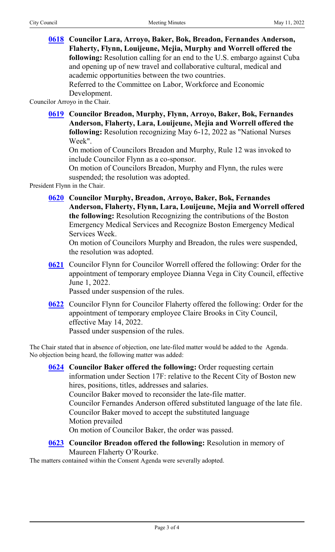**[0618](http://boston.legistar.com/gateway.aspx?m=l&id=/matter.aspx?key=5749) Councilor Lara, Arroyo, Baker, Bok, Breadon, Fernandes Anderson, Flaherty, Flynn, Louijeune, Mejia, Murphy and Worrell offered the following:** Resolution calling for an end to the U.S. embargo against Cuba and opening up of new travel and collaborative cultural, medical and academic opportunities between the two countries. Referred to the Committee on Labor, Workforce and Economic Development.

Councilor Arroyo in the Chair.

**[0619](http://boston.legistar.com/gateway.aspx?m=l&id=/matter.aspx?key=5746) Councilor Breadon, Murphy, Flynn, Arroyo, Baker, Bok, Fernandes Anderson, Flaherty, Lara, Louijeune, Mejia and Worrell offered the following:** Resolution recognizing May 6-12, 2022 as "National Nurses Week".

On motion of Councilors Breadon and Murphy, Rule 12 was invoked to include Councilor Flynn as a co-sponsor.

On motion of Councilors Breadon, Murphy and Flynn, the rules were suspended; the resolution was adopted.

President Flynn in the Chair.

**[0620](http://boston.legistar.com/gateway.aspx?m=l&id=/matter.aspx?key=5762) Councilor Murphy, Breadon, Arroyo, Baker, Bok, Fernandes Anderson, Flaherty, Flynn, Lara, Louijeune, Mejia and Worrell offered the following:** Resolution Recognizing the contributions of the Boston Emergency Medical Services and Recognize Boston Emergency Medical Services Week.

On motion of Councilors Murphy and Breadon, the rules were suspended, the resolution was adopted.

**[0621](http://boston.legistar.com/gateway.aspx?m=l&id=/matter.aspx?key=5745)** Councilor Flynn for Councilor Worrell offered the following: Order for the appointment of temporary employee Dianna Vega in City Council, effective June 1, 2022.

Passed under suspension of the rules.

**[0622](http://boston.legistar.com/gateway.aspx?m=l&id=/matter.aspx?key=5751)** Councilor Flynn for Councilor Flaherty offered the following: Order for the appointment of temporary employee Claire Brooks in City Council, effective May 14, 2022. Passed under suspension of the rules.

The Chair stated that in absence of objection, one late-filed matter would be added to the Agenda. No objection being heard, the following matter was added:

**[0624](http://boston.legistar.com/gateway.aspx?m=l&id=/matter.aspx?key=5766) Councilor Baker offered the following:** Order requesting certain information under Section 17F: relative to the Recent City of Boston new hires, positions, titles, addresses and salaries. Councilor Baker moved to reconsider the late-file matter. Councilor Fernandes Anderson offered substituted language of the late file. Councilor Baker moved to accept the substituted language Motion prevailed On motion of Councilor Baker, the order was passed. **[0623](http://boston.legistar.com/gateway.aspx?m=l&id=/matter.aspx?key=5747) Councilor Breadon offered the following:** Resolution in memory of Maureen Flaherty O'Rourke.

The matters contained within the Consent Agenda were severally adopted.